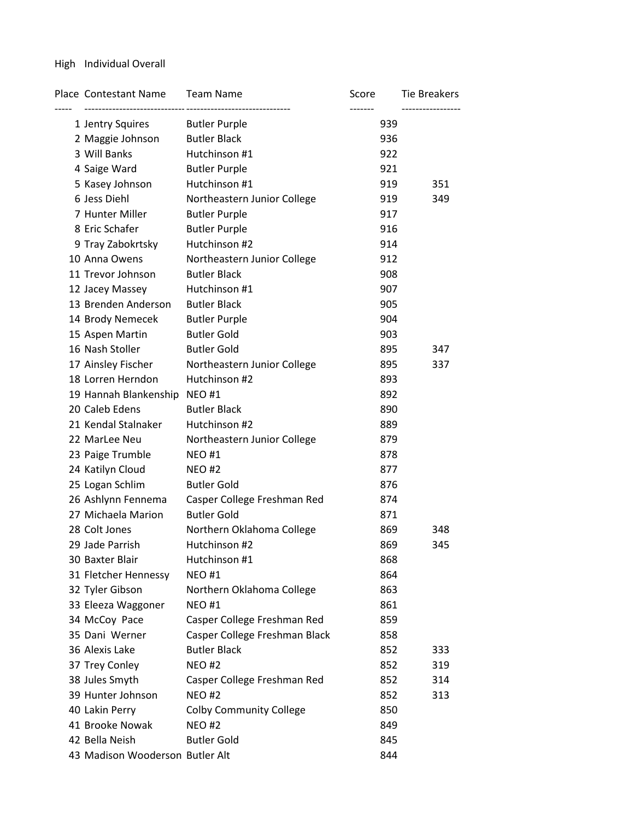# High Individual Overall

| 1 Jentry Squires Butler Purple<br>939<br><b>Butler Black</b><br>2 Maggie Johnson<br>936<br>3 Will Banks<br>Hutchinson #1<br>922<br>4 Saige Ward<br><b>Butler Purple</b><br>921<br>Hutchinson #1<br>5 Kasey Johnson<br>919<br>351<br>6 Jess Diehl<br>Northeastern Junior College<br>919<br>349<br>7 Hunter Miller<br><b>Butler Purple</b><br>917<br>8 Eric Schafer<br><b>Butler Purple</b><br>916<br>Hutchinson #2<br>9 Tray Zabokrtsky<br>914<br>10 Anna Owens<br>Northeastern Junior College<br>912<br><b>Butler Black</b><br>11 Trevor Johnson<br>908<br>12 Jacey Massey<br>Hutchinson #1<br>907<br>13 Brenden Anderson<br><b>Butler Black</b><br>905<br>14 Brody Nemecek<br><b>Butler Purple</b><br>904<br><b>Butler Gold</b><br>15 Aspen Martin<br>903<br>16 Nash Stoller<br><b>Butler Gold</b><br>895<br>347<br>17 Ainsley Fischer<br>Northeastern Junior College<br>895<br>337<br>Hutchinson #2<br>18 Lorren Herndon<br>893<br>19 Hannah Blankenship NEO #1<br>892<br>20 Caleb Edens<br><b>Butler Black</b><br>890<br>Hutchinson #2<br>21 Kendal Stalnaker<br>889<br>22 MarLee Neu<br>879<br>Northeastern Junior College<br>23 Paige Trumble<br><b>NEO #1</b><br>878<br>24 Katilyn Cloud<br><b>NEO#2</b><br>877<br><b>Butler Gold</b><br>25 Logan Schlim<br>876<br>26 Ashlynn Fennema<br>Casper College Freshman Red<br>874<br><b>Butler Gold</b><br>27 Michaela Marion<br>871<br>28 Colt Jones<br>Northern Oklahoma College<br>869<br>348<br>869<br>29 Jade Parrish<br>Hutchinson #2<br>345 |
|----------------------------------------------------------------------------------------------------------------------------------------------------------------------------------------------------------------------------------------------------------------------------------------------------------------------------------------------------------------------------------------------------------------------------------------------------------------------------------------------------------------------------------------------------------------------------------------------------------------------------------------------------------------------------------------------------------------------------------------------------------------------------------------------------------------------------------------------------------------------------------------------------------------------------------------------------------------------------------------------------------------------------------------------------------------------------------------------------------------------------------------------------------------------------------------------------------------------------------------------------------------------------------------------------------------------------------------------------------------------------------------------------------------------------------------------------------------------------------------------------|
|                                                                                                                                                                                                                                                                                                                                                                                                                                                                                                                                                                                                                                                                                                                                                                                                                                                                                                                                                                                                                                                                                                                                                                                                                                                                                                                                                                                                                                                                                                    |
|                                                                                                                                                                                                                                                                                                                                                                                                                                                                                                                                                                                                                                                                                                                                                                                                                                                                                                                                                                                                                                                                                                                                                                                                                                                                                                                                                                                                                                                                                                    |
|                                                                                                                                                                                                                                                                                                                                                                                                                                                                                                                                                                                                                                                                                                                                                                                                                                                                                                                                                                                                                                                                                                                                                                                                                                                                                                                                                                                                                                                                                                    |
|                                                                                                                                                                                                                                                                                                                                                                                                                                                                                                                                                                                                                                                                                                                                                                                                                                                                                                                                                                                                                                                                                                                                                                                                                                                                                                                                                                                                                                                                                                    |
|                                                                                                                                                                                                                                                                                                                                                                                                                                                                                                                                                                                                                                                                                                                                                                                                                                                                                                                                                                                                                                                                                                                                                                                                                                                                                                                                                                                                                                                                                                    |
|                                                                                                                                                                                                                                                                                                                                                                                                                                                                                                                                                                                                                                                                                                                                                                                                                                                                                                                                                                                                                                                                                                                                                                                                                                                                                                                                                                                                                                                                                                    |
|                                                                                                                                                                                                                                                                                                                                                                                                                                                                                                                                                                                                                                                                                                                                                                                                                                                                                                                                                                                                                                                                                                                                                                                                                                                                                                                                                                                                                                                                                                    |
|                                                                                                                                                                                                                                                                                                                                                                                                                                                                                                                                                                                                                                                                                                                                                                                                                                                                                                                                                                                                                                                                                                                                                                                                                                                                                                                                                                                                                                                                                                    |
|                                                                                                                                                                                                                                                                                                                                                                                                                                                                                                                                                                                                                                                                                                                                                                                                                                                                                                                                                                                                                                                                                                                                                                                                                                                                                                                                                                                                                                                                                                    |
|                                                                                                                                                                                                                                                                                                                                                                                                                                                                                                                                                                                                                                                                                                                                                                                                                                                                                                                                                                                                                                                                                                                                                                                                                                                                                                                                                                                                                                                                                                    |
|                                                                                                                                                                                                                                                                                                                                                                                                                                                                                                                                                                                                                                                                                                                                                                                                                                                                                                                                                                                                                                                                                                                                                                                                                                                                                                                                                                                                                                                                                                    |
|                                                                                                                                                                                                                                                                                                                                                                                                                                                                                                                                                                                                                                                                                                                                                                                                                                                                                                                                                                                                                                                                                                                                                                                                                                                                                                                                                                                                                                                                                                    |
|                                                                                                                                                                                                                                                                                                                                                                                                                                                                                                                                                                                                                                                                                                                                                                                                                                                                                                                                                                                                                                                                                                                                                                                                                                                                                                                                                                                                                                                                                                    |
|                                                                                                                                                                                                                                                                                                                                                                                                                                                                                                                                                                                                                                                                                                                                                                                                                                                                                                                                                                                                                                                                                                                                                                                                                                                                                                                                                                                                                                                                                                    |
|                                                                                                                                                                                                                                                                                                                                                                                                                                                                                                                                                                                                                                                                                                                                                                                                                                                                                                                                                                                                                                                                                                                                                                                                                                                                                                                                                                                                                                                                                                    |
|                                                                                                                                                                                                                                                                                                                                                                                                                                                                                                                                                                                                                                                                                                                                                                                                                                                                                                                                                                                                                                                                                                                                                                                                                                                                                                                                                                                                                                                                                                    |
|                                                                                                                                                                                                                                                                                                                                                                                                                                                                                                                                                                                                                                                                                                                                                                                                                                                                                                                                                                                                                                                                                                                                                                                                                                                                                                                                                                                                                                                                                                    |
|                                                                                                                                                                                                                                                                                                                                                                                                                                                                                                                                                                                                                                                                                                                                                                                                                                                                                                                                                                                                                                                                                                                                                                                                                                                                                                                                                                                                                                                                                                    |
|                                                                                                                                                                                                                                                                                                                                                                                                                                                                                                                                                                                                                                                                                                                                                                                                                                                                                                                                                                                                                                                                                                                                                                                                                                                                                                                                                                                                                                                                                                    |
|                                                                                                                                                                                                                                                                                                                                                                                                                                                                                                                                                                                                                                                                                                                                                                                                                                                                                                                                                                                                                                                                                                                                                                                                                                                                                                                                                                                                                                                                                                    |
|                                                                                                                                                                                                                                                                                                                                                                                                                                                                                                                                                                                                                                                                                                                                                                                                                                                                                                                                                                                                                                                                                                                                                                                                                                                                                                                                                                                                                                                                                                    |
|                                                                                                                                                                                                                                                                                                                                                                                                                                                                                                                                                                                                                                                                                                                                                                                                                                                                                                                                                                                                                                                                                                                                                                                                                                                                                                                                                                                                                                                                                                    |
|                                                                                                                                                                                                                                                                                                                                                                                                                                                                                                                                                                                                                                                                                                                                                                                                                                                                                                                                                                                                                                                                                                                                                                                                                                                                                                                                                                                                                                                                                                    |
|                                                                                                                                                                                                                                                                                                                                                                                                                                                                                                                                                                                                                                                                                                                                                                                                                                                                                                                                                                                                                                                                                                                                                                                                                                                                                                                                                                                                                                                                                                    |
|                                                                                                                                                                                                                                                                                                                                                                                                                                                                                                                                                                                                                                                                                                                                                                                                                                                                                                                                                                                                                                                                                                                                                                                                                                                                                                                                                                                                                                                                                                    |
|                                                                                                                                                                                                                                                                                                                                                                                                                                                                                                                                                                                                                                                                                                                                                                                                                                                                                                                                                                                                                                                                                                                                                                                                                                                                                                                                                                                                                                                                                                    |
|                                                                                                                                                                                                                                                                                                                                                                                                                                                                                                                                                                                                                                                                                                                                                                                                                                                                                                                                                                                                                                                                                                                                                                                                                                                                                                                                                                                                                                                                                                    |
|                                                                                                                                                                                                                                                                                                                                                                                                                                                                                                                                                                                                                                                                                                                                                                                                                                                                                                                                                                                                                                                                                                                                                                                                                                                                                                                                                                                                                                                                                                    |
|                                                                                                                                                                                                                                                                                                                                                                                                                                                                                                                                                                                                                                                                                                                                                                                                                                                                                                                                                                                                                                                                                                                                                                                                                                                                                                                                                                                                                                                                                                    |
|                                                                                                                                                                                                                                                                                                                                                                                                                                                                                                                                                                                                                                                                                                                                                                                                                                                                                                                                                                                                                                                                                                                                                                                                                                                                                                                                                                                                                                                                                                    |
| Hutchinson #1<br>30 Baxter Blair<br>868                                                                                                                                                                                                                                                                                                                                                                                                                                                                                                                                                                                                                                                                                                                                                                                                                                                                                                                                                                                                                                                                                                                                                                                                                                                                                                                                                                                                                                                            |
| 31 Fletcher Hennessy<br><b>NEO#1</b><br>864                                                                                                                                                                                                                                                                                                                                                                                                                                                                                                                                                                                                                                                                                                                                                                                                                                                                                                                                                                                                                                                                                                                                                                                                                                                                                                                                                                                                                                                        |
| 32 Tyler Gibson<br>Northern Oklahoma College<br>863                                                                                                                                                                                                                                                                                                                                                                                                                                                                                                                                                                                                                                                                                                                                                                                                                                                                                                                                                                                                                                                                                                                                                                                                                                                                                                                                                                                                                                                |
| 33 Eleeza Waggoner<br><b>NEO#1</b><br>861                                                                                                                                                                                                                                                                                                                                                                                                                                                                                                                                                                                                                                                                                                                                                                                                                                                                                                                                                                                                                                                                                                                                                                                                                                                                                                                                                                                                                                                          |
| Casper College Freshman Red<br>34 McCoy Pace<br>859                                                                                                                                                                                                                                                                                                                                                                                                                                                                                                                                                                                                                                                                                                                                                                                                                                                                                                                                                                                                                                                                                                                                                                                                                                                                                                                                                                                                                                                |
| 35 Dani Werner<br>Casper College Freshman Black<br>858                                                                                                                                                                                                                                                                                                                                                                                                                                                                                                                                                                                                                                                                                                                                                                                                                                                                                                                                                                                                                                                                                                                                                                                                                                                                                                                                                                                                                                             |
| 36 Alexis Lake<br><b>Butler Black</b><br>852<br>333                                                                                                                                                                                                                                                                                                                                                                                                                                                                                                                                                                                                                                                                                                                                                                                                                                                                                                                                                                                                                                                                                                                                                                                                                                                                                                                                                                                                                                                |
| 37 Trey Conley<br>852<br><b>NEO#2</b><br>319                                                                                                                                                                                                                                                                                                                                                                                                                                                                                                                                                                                                                                                                                                                                                                                                                                                                                                                                                                                                                                                                                                                                                                                                                                                                                                                                                                                                                                                       |
| 38 Jules Smyth<br>Casper College Freshman Red<br>852<br>314                                                                                                                                                                                                                                                                                                                                                                                                                                                                                                                                                                                                                                                                                                                                                                                                                                                                                                                                                                                                                                                                                                                                                                                                                                                                                                                                                                                                                                        |
| 39 Hunter Johnson<br><b>NEO#2</b><br>852<br>313                                                                                                                                                                                                                                                                                                                                                                                                                                                                                                                                                                                                                                                                                                                                                                                                                                                                                                                                                                                                                                                                                                                                                                                                                                                                                                                                                                                                                                                    |
| 40 Lakin Perry<br><b>Colby Community College</b><br>850                                                                                                                                                                                                                                                                                                                                                                                                                                                                                                                                                                                                                                                                                                                                                                                                                                                                                                                                                                                                                                                                                                                                                                                                                                                                                                                                                                                                                                            |
| 41 Brooke Nowak<br><b>NEO#2</b><br>849                                                                                                                                                                                                                                                                                                                                                                                                                                                                                                                                                                                                                                                                                                                                                                                                                                                                                                                                                                                                                                                                                                                                                                                                                                                                                                                                                                                                                                                             |
| 42 Bella Neish<br><b>Butler Gold</b><br>845                                                                                                                                                                                                                                                                                                                                                                                                                                                                                                                                                                                                                                                                                                                                                                                                                                                                                                                                                                                                                                                                                                                                                                                                                                                                                                                                                                                                                                                        |
| 43 Madison Wooderson Butler Alt<br>844                                                                                                                                                                                                                                                                                                                                                                                                                                                                                                                                                                                                                                                                                                                                                                                                                                                                                                                                                                                                                                                                                                                                                                                                                                                                                                                                                                                                                                                             |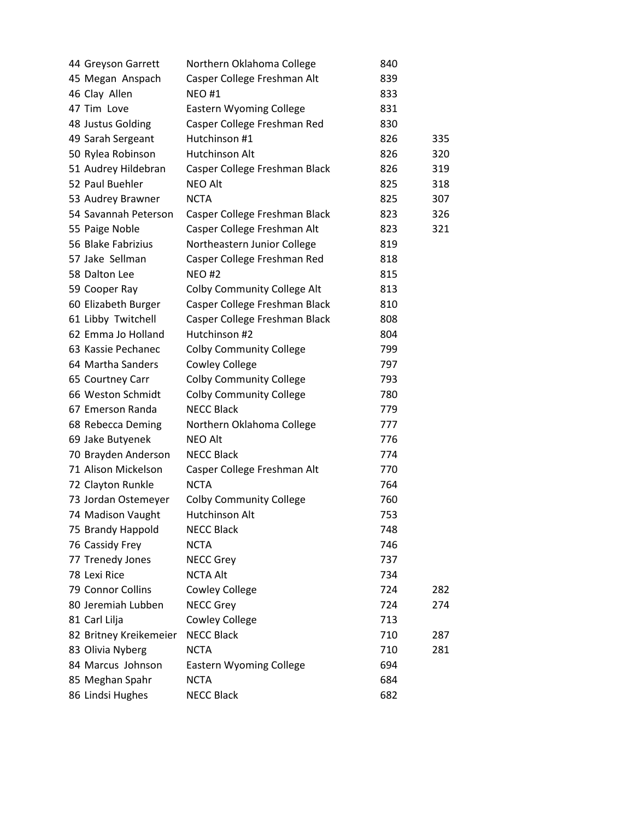| 44 Greyson Garrett     | Northern Oklahoma College          | 840 |     |
|------------------------|------------------------------------|-----|-----|
| 45 Megan Anspach       | Casper College Freshman Alt        | 839 |     |
| 46 Clay Allen          | <b>NEO #1</b>                      | 833 |     |
| 47 Tim Love            | <b>Eastern Wyoming College</b>     | 831 |     |
| 48 Justus Golding      | Casper College Freshman Red        | 830 |     |
| 49 Sarah Sergeant      | Hutchinson #1                      | 826 | 335 |
| 50 Rylea Robinson      | Hutchinson Alt                     | 826 | 320 |
| 51 Audrey Hildebran    | Casper College Freshman Black      | 826 | 319 |
| 52 Paul Buehler        | <b>NEO Alt</b>                     | 825 | 318 |
| 53 Audrey Brawner      | <b>NCTA</b>                        | 825 | 307 |
| 54 Savannah Peterson   | Casper College Freshman Black      | 823 | 326 |
| 55 Paige Noble         | Casper College Freshman Alt        | 823 | 321 |
| 56 Blake Fabrizius     | Northeastern Junior College        | 819 |     |
| 57 Jake Sellman        | Casper College Freshman Red        | 818 |     |
| 58 Dalton Lee          | <b>NEO#2</b>                       | 815 |     |
| 59 Cooper Ray          | <b>Colby Community College Alt</b> | 813 |     |
| 60 Elizabeth Burger    | Casper College Freshman Black      | 810 |     |
| 61 Libby Twitchell     | Casper College Freshman Black      | 808 |     |
| 62 Emma Jo Holland     | Hutchinson #2                      | 804 |     |
| 63 Kassie Pechanec     | <b>Colby Community College</b>     | 799 |     |
| 64 Martha Sanders      | <b>Cowley College</b>              | 797 |     |
| 65 Courtney Carr       | <b>Colby Community College</b>     | 793 |     |
| 66 Weston Schmidt      | <b>Colby Community College</b>     | 780 |     |
| 67 Emerson Randa       | <b>NECC Black</b>                  | 779 |     |
| 68 Rebecca Deming      | Northern Oklahoma College          | 777 |     |
| 69 Jake Butyenek       | <b>NEO Alt</b>                     | 776 |     |
| 70 Brayden Anderson    | <b>NECC Black</b>                  | 774 |     |
| 71 Alison Mickelson    | Casper College Freshman Alt        | 770 |     |
| 72 Clayton Runkle      | <b>NCTA</b>                        | 764 |     |
| 73 Jordan Ostemeyer    | <b>Colby Community College</b>     | 760 |     |
| 74 Madison Vaught      | Hutchinson Alt                     | 753 |     |
| 75 Brandy Happold      | <b>NECC Black</b>                  | 748 |     |
| 76 Cassidy Frey        | <b>NCTA</b>                        | 746 |     |
| 77 Trenedy Jones       | <b>NECC Grey</b>                   | 737 |     |
| 78 Lexi Rice           | <b>NCTA Alt</b>                    | 734 |     |
| 79 Connor Collins      | <b>Cowley College</b>              | 724 | 282 |
| 80 Jeremiah Lubben     | <b>NECC Grey</b>                   | 724 | 274 |
| 81 Carl Lilja          | <b>Cowley College</b>              | 713 |     |
| 82 Britney Kreikemeier | <b>NECC Black</b>                  | 710 | 287 |
| 83 Olivia Nyberg       | <b>NCTA</b>                        | 710 | 281 |
| 84 Marcus Johnson      | <b>Eastern Wyoming College</b>     | 694 |     |
| 85 Meghan Spahr        | <b>NCTA</b>                        | 684 |     |
| 86 Lindsi Hughes       | <b>NECC Black</b>                  | 682 |     |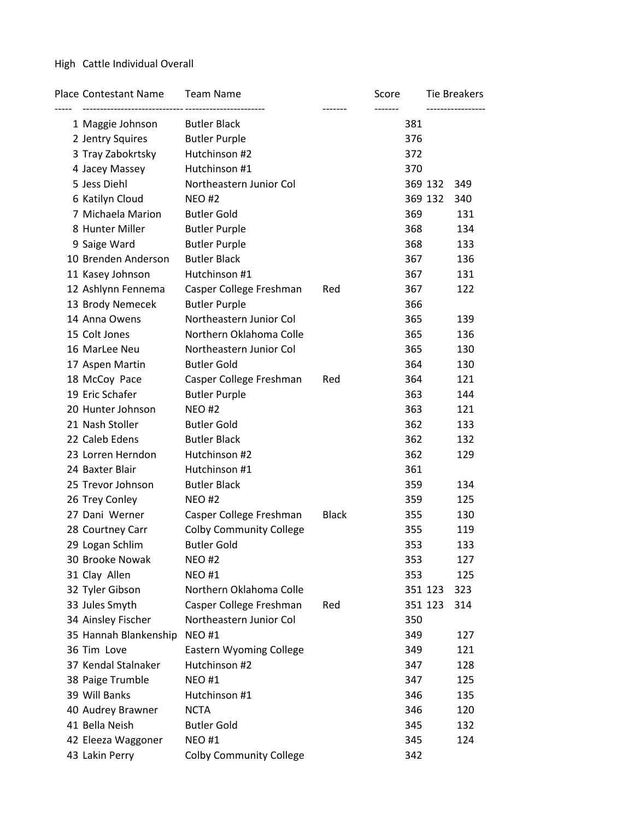### High Cattle Individual Overall

| <b>Place Contestant Name</b> | <b>Team Name</b>               |              | Score |         | Tie Breakers |
|------------------------------|--------------------------------|--------------|-------|---------|--------------|
| 1 Maggie Johnson             | <b>Butler Black</b>            |              | 381   |         |              |
| 2 Jentry Squires             | <b>Butler Purple</b>           |              | 376   |         |              |
| 3 Tray Zabokrtsky            | Hutchinson #2                  |              | 372   |         |              |
| 4 Jacey Massey               | Hutchinson #1                  |              | 370   |         |              |
| 5 Jess Diehl                 | Northeastern Junior Col        |              |       | 369 132 | 349          |
| 6 Katilyn Cloud              | <b>NEO#2</b>                   |              |       | 369 132 | 340          |
| 7 Michaela Marion            | <b>Butler Gold</b>             |              | 369   |         | 131          |
| 8 Hunter Miller              | <b>Butler Purple</b>           |              | 368   |         | 134          |
| 9 Saige Ward                 | <b>Butler Purple</b>           |              | 368   |         | 133          |
| 10 Brenden Anderson          | <b>Butler Black</b>            |              | 367   |         | 136          |
| 11 Kasey Johnson             | Hutchinson #1                  |              | 367   |         | 131          |
| 12 Ashlynn Fennema           | Casper College Freshman        | Red          | 367   |         | 122          |
| 13 Brody Nemecek             | <b>Butler Purple</b>           |              | 366   |         |              |
| 14 Anna Owens                | Northeastern Junior Col        |              | 365   |         | 139          |
| 15 Colt Jones                | Northern Oklahoma Colle        |              | 365   |         | 136          |
| 16 MarLee Neu                | Northeastern Junior Col        |              | 365   |         | 130          |
| 17 Aspen Martin              | <b>Butler Gold</b>             |              | 364   |         | 130          |
| 18 McCoy Pace                | Casper College Freshman        | Red          | 364   |         | 121          |
| 19 Eric Schafer              | <b>Butler Purple</b>           |              | 363   |         | 144          |
| 20 Hunter Johnson            | <b>NEO#2</b>                   |              | 363   |         | 121          |
| 21 Nash Stoller              | <b>Butler Gold</b>             |              | 362   |         | 133          |
| 22 Caleb Edens               | <b>Butler Black</b>            |              | 362   |         | 132          |
| 23 Lorren Herndon            | Hutchinson #2                  |              | 362   |         | 129          |
| 24 Baxter Blair              | Hutchinson #1                  |              | 361   |         |              |
| 25 Trevor Johnson            | <b>Butler Black</b>            |              | 359   |         | 134          |
| 26 Trey Conley               | <b>NEO#2</b>                   |              | 359   |         | 125          |
| 27 Dani Werner               | Casper College Freshman        | <b>Black</b> | 355   |         | 130          |
| 28 Courtney Carr             | <b>Colby Community College</b> |              | 355   |         | 119          |
| 29 Logan Schlim              | <b>Butler Gold</b>             |              | 353   |         | 133          |
| 30 Brooke Nowak              | <b>NEO#2</b>                   |              | 353   |         | 127          |
| 31 Clay Allen                | <b>NEO#1</b>                   |              | 353   |         | 125          |
| 32 Tyler Gibson              | Northern Oklahoma Colle        |              |       | 351 123 | 323          |
| 33 Jules Smyth               | Casper College Freshman        | Red          |       | 351 123 | 314          |
| 34 Ainsley Fischer           | Northeastern Junior Col        |              | 350   |         |              |
| 35 Hannah Blankenship        | <b>NEO#1</b>                   |              | 349   |         | 127          |
| 36 Tim Love                  | <b>Eastern Wyoming College</b> |              | 349   |         | 121          |
| 37 Kendal Stalnaker          | Hutchinson #2                  |              | 347   |         | 128          |
| 38 Paige Trumble             | <b>NEO#1</b>                   |              | 347   |         | 125          |
| 39 Will Banks                | Hutchinson #1                  |              | 346   |         | 135          |
| 40 Audrey Brawner            | <b>NCTA</b>                    |              | 346   |         | 120          |
| 41 Bella Neish               | <b>Butler Gold</b>             |              | 345   |         | 132          |
| 42 Eleeza Waggoner           | <b>NEO#1</b>                   |              | 345   |         | 124          |
| 43 Lakin Perry               | <b>Colby Community College</b> |              | 342   |         |              |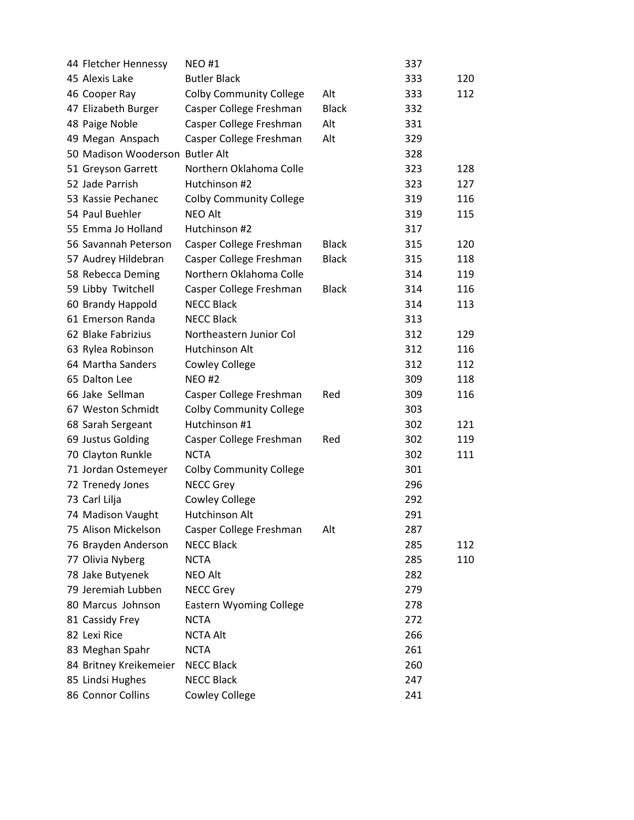| 44 Fletcher Hennessy            | NEO #1                         |              | 337 |     |
|---------------------------------|--------------------------------|--------------|-----|-----|
| 45 Alexis Lake                  | <b>Butler Black</b>            |              | 333 | 120 |
| 46 Cooper Ray                   | <b>Colby Community College</b> | Alt          | 333 | 112 |
| 47 Elizabeth Burger             | Casper College Freshman        | <b>Black</b> | 332 |     |
| 48 Paige Noble                  | Casper College Freshman        | Alt          | 331 |     |
| 49 Megan Anspach                | Casper College Freshman        | Alt          | 329 |     |
| 50 Madison Wooderson Butler Alt |                                |              | 328 |     |
| 51 Greyson Garrett              | Northern Oklahoma Colle        |              | 323 | 128 |
| 52 Jade Parrish                 | Hutchinson #2                  |              | 323 | 127 |
| 53 Kassie Pechanec              | <b>Colby Community College</b> |              | 319 | 116 |
| 54 Paul Buehler                 | <b>NEO Alt</b>                 |              | 319 | 115 |
| 55 Emma Jo Holland              | Hutchinson #2                  |              | 317 |     |
| 56 Savannah Peterson            | Casper College Freshman        | <b>Black</b> | 315 | 120 |
| 57 Audrey Hildebran             | Casper College Freshman        | <b>Black</b> | 315 | 118 |
| 58 Rebecca Deming               | Northern Oklahoma Colle        |              | 314 | 119 |
| 59 Libby Twitchell              | Casper College Freshman        | <b>Black</b> | 314 | 116 |
| 60 Brandy Happold               | <b>NECC Black</b>              |              | 314 | 113 |
| 61 Emerson Randa                | <b>NECC Black</b>              |              | 313 |     |
| 62 Blake Fabrizius              | Northeastern Junior Col        |              | 312 | 129 |
| 63 Rylea Robinson               | Hutchinson Alt                 |              | 312 | 116 |
| 64 Martha Sanders               | <b>Cowley College</b>          |              | 312 | 112 |
| 65 Dalton Lee                   | <b>NEO#2</b>                   |              | 309 | 118 |
| 66 Jake Sellman                 | Casper College Freshman        | Red          | 309 | 116 |
| 67 Weston Schmidt               | <b>Colby Community College</b> |              | 303 |     |
| 68 Sarah Sergeant               | Hutchinson #1                  |              | 302 | 121 |
| 69 Justus Golding               | Casper College Freshman        | Red          | 302 | 119 |
| 70 Clayton Runkle               | <b>NCTA</b>                    |              | 302 | 111 |
| 71 Jordan Ostemeyer             | <b>Colby Community College</b> |              | 301 |     |
| 72 Trenedy Jones                | <b>NECC Grey</b>               |              | 296 |     |
| 73 Carl Lilja                   | <b>Cowley College</b>          |              | 292 |     |
| 74 Madison Vaught               | Hutchinson Alt                 |              | 291 |     |
| 75 Alison Mickelson             | Casper College Freshman        | Alt          | 287 |     |
| 76 Brayden Anderson             | <b>NECC Black</b>              |              | 285 | 112 |
| 77 Olivia Nyberg                | <b>NCTA</b>                    |              | 285 | 110 |
| 78 Jake Butyenek                | <b>NEO Alt</b>                 |              | 282 |     |
| 79 Jeremiah Lubben              | <b>NECC Grey</b>               |              | 279 |     |
| 80 Marcus Johnson               | <b>Eastern Wyoming College</b> |              | 278 |     |
| 81 Cassidy Frey                 | <b>NCTA</b>                    |              | 272 |     |
| 82 Lexi Rice                    | <b>NCTA Alt</b>                |              | 266 |     |
| 83 Meghan Spahr                 | <b>NCTA</b>                    |              | 261 |     |
| 84 Britney Kreikemeier          | <b>NECC Black</b>              |              | 260 |     |
| 85 Lindsi Hughes                | <b>NECC Black</b>              |              | 247 |     |
| 86 Connor Collins               | <b>Cowley College</b>          |              | 241 |     |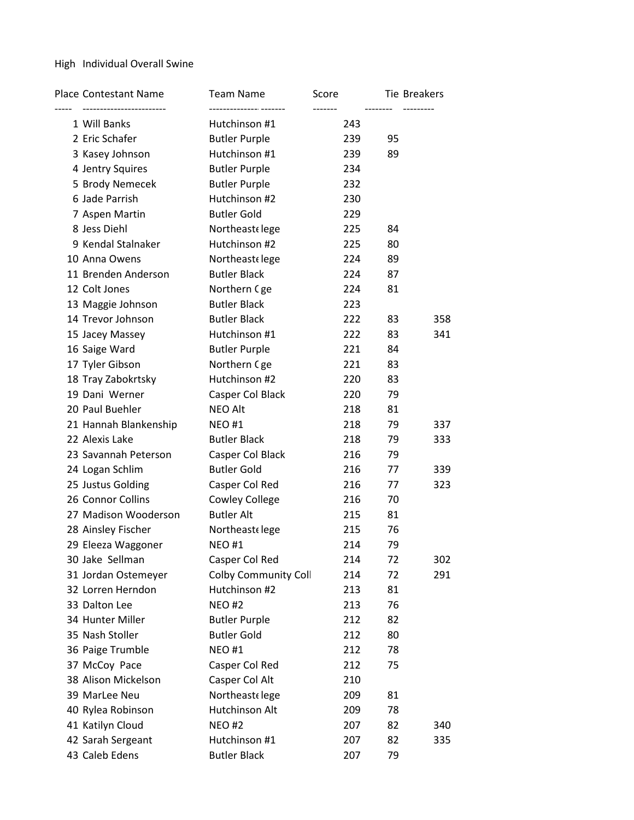### High Individual Overall Swine

| Place Contestant Name | <b>Team Name</b>            | Score<br>------- | <b>Tie Breakers</b> |     |
|-----------------------|-----------------------------|------------------|---------------------|-----|
| 1 Will Banks          | Hutchinson #1               | 243              |                     |     |
| 2 Eric Schafer        | <b>Butler Purple</b>        | 239              | 95                  |     |
| 3 Kasey Johnson       | Hutchinson #1               | 239              | 89                  |     |
| 4 Jentry Squires      | <b>Butler Purple</b>        | 234              |                     |     |
| 5 Brody Nemecek       | <b>Butler Purple</b>        | 232              |                     |     |
| 6 Jade Parrish        | Hutchinson #2               | 230              |                     |     |
| 7 Aspen Martin        | <b>Butler Gold</b>          | 229              |                     |     |
| 8 Jess Diehl          | Northeastelege              | 225              | 84                  |     |
| 9 Kendal Stalnaker    | Hutchinson #2               | 225              | 80                  |     |
| 10 Anna Owens         | Northeastelege              | 224              | 89                  |     |
| 11 Brenden Anderson   | <b>Butler Black</b>         | 224              | 87                  |     |
| 12 Colt Jones         | Northern Cge                | 224              | 81                  |     |
| 13 Maggie Johnson     | <b>Butler Black</b>         | 223              |                     |     |
| 14 Trevor Johnson     | <b>Butler Black</b>         | 222              | 83                  | 358 |
| 15 Jacey Massey       | Hutchinson #1               | 222              | 83                  | 341 |
| 16 Saige Ward         | <b>Butler Purple</b>        | 221              | 84                  |     |
| 17 Tyler Gibson       | Northern Cge                | 221              | 83                  |     |
| 18 Tray Zabokrtsky    | Hutchinson #2               | 220              | 83                  |     |
| 19 Dani Werner        | Casper Col Black            | 220              | 79                  |     |
| 20 Paul Buehler       | <b>NEO Alt</b>              | 218              | 81                  |     |
| 21 Hannah Blankenship | <b>NEO#1</b>                | 218              | 79                  | 337 |
| 22 Alexis Lake        | <b>Butler Black</b>         | 218              | 79                  | 333 |
| 23 Savannah Peterson  | Casper Col Black            | 216              | 79                  |     |
| 24 Logan Schlim       | <b>Butler Gold</b>          | 216              | 77                  | 339 |
| 25 Justus Golding     | Casper Col Red              | 216              | 77                  | 323 |
| 26 Connor Collins     | <b>Cowley College</b>       | 216              | 70                  |     |
| 27 Madison Wooderson  | <b>Butler Alt</b>           | 215              | 81                  |     |
| 28 Ainsley Fischer    | Northeastelege              | 215              | 76                  |     |
| 29 Eleeza Waggoner    | <b>NEO#1</b>                | 214              | 79                  |     |
| 30 Jake Sellman       | Casper Col Red              | 214              | 72                  | 302 |
| 31 Jordan Ostemeyer   | <b>Colby Community Coll</b> | 214              | 72                  | 291 |
| 32 Lorren Herndon     | Hutchinson #2               | 213              | 81                  |     |
| 33 Dalton Lee         | <b>NEO#2</b>                | 213              | 76                  |     |
| 34 Hunter Miller      | <b>Butler Purple</b>        | 212              | 82                  |     |
| 35 Nash Stoller       | <b>Butler Gold</b>          | 212              | 80                  |     |
| 36 Paige Trumble      | <b>NEO#1</b>                | 212              | 78                  |     |
| 37 McCoy Pace         | Casper Col Red              | 212              | 75                  |     |
| 38 Alison Mickelson   | Casper Col Alt              | 210              |                     |     |
| 39 MarLee Neu         | Northeastelege              | 209              | 81                  |     |
| 40 Rylea Robinson     | Hutchinson Alt              | 209              | 78                  |     |
| 41 Katilyn Cloud      | <b>NEO#2</b>                | 207              | 82                  | 340 |
| 42 Sarah Sergeant     | Hutchinson #1               | 207              | 82                  | 335 |
| 43 Caleb Edens        | <b>Butler Black</b>         | 207              | 79                  |     |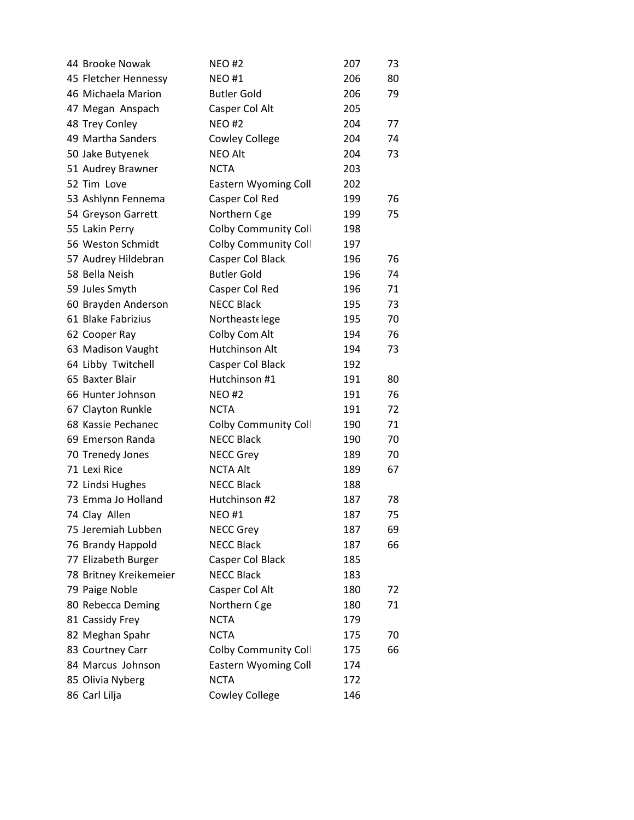| 44 Brooke Nowak        | <b>NEO#2</b>                | 207 | 73 |
|------------------------|-----------------------------|-----|----|
| 45 Fletcher Hennessy   | <b>NEO#1</b>                | 206 | 80 |
| 46 Michaela Marion     | <b>Butler Gold</b>          | 206 | 79 |
| 47 Megan Anspach       | Casper Col Alt              | 205 |    |
| 48 Trey Conley         | <b>NEO#2</b>                | 204 | 77 |
| 49 Martha Sanders      | <b>Cowley College</b>       | 204 | 74 |
| 50 Jake Butyenek       | <b>NEO Alt</b>              | 204 | 73 |
| 51 Audrey Brawner      | <b>NCTA</b>                 | 203 |    |
| 52 Tim Love            | <b>Eastern Wyoming Coll</b> | 202 |    |
| 53 Ashlynn Fennema     | Casper Col Red              | 199 | 76 |
| 54 Greyson Garrett     | Northern Cge                | 199 | 75 |
| 55 Lakin Perry         | <b>Colby Community Coll</b> | 198 |    |
| 56 Weston Schmidt      | <b>Colby Community Coll</b> | 197 |    |
| 57 Audrey Hildebran    | Casper Col Black            | 196 | 76 |
| 58 Bella Neish         | <b>Butler Gold</b>          | 196 | 74 |
| 59 Jules Smyth         | Casper Col Red              | 196 | 71 |
| 60 Brayden Anderson    | <b>NECC Black</b>           | 195 | 73 |
| 61 Blake Fabrizius     | Northeastelege              | 195 | 70 |
| 62 Cooper Ray          | Colby Com Alt               | 194 | 76 |
| 63 Madison Vaught      | Hutchinson Alt              | 194 | 73 |
| 64 Libby Twitchell     | Casper Col Black            | 192 |    |
| 65 Baxter Blair        | Hutchinson #1               | 191 | 80 |
| 66 Hunter Johnson      | <b>NEO#2</b>                | 191 | 76 |
| 67 Clayton Runkle      | <b>NCTA</b>                 | 191 | 72 |
| 68 Kassie Pechanec     | Colby Community Coll        | 190 | 71 |
| 69 Emerson Randa       | <b>NECC Black</b>           | 190 | 70 |
| 70 Trenedy Jones       | <b>NECC Grey</b>            | 189 | 70 |
| 71 Lexi Rice           | <b>NCTA Alt</b>             | 189 | 67 |
| 72 Lindsi Hughes       | <b>NECC Black</b>           | 188 |    |
| 73 Emma Jo Holland     | Hutchinson #2               | 187 | 78 |
| 74 Clay Allen          | <b>NEO#1</b>                | 187 | 75 |
| 75 Jeremiah Lubben     | <b>NECC Grey</b>            | 187 | 69 |
| 76 Brandy Happold      | <b>NECC Black</b>           | 187 | 66 |
| 77 Elizabeth Burger    | Casper Col Black            | 185 |    |
| 78 Britney Kreikemeier | <b>NECC Black</b>           | 183 |    |
| 79 Paige Noble         | Casper Col Alt              | 180 | 72 |
| 80 Rebecca Deming      | Northern Cge                | 180 | 71 |
| 81 Cassidy Frey        | <b>NCTA</b>                 | 179 |    |
| 82 Meghan Spahr        | <b>NCTA</b>                 | 175 | 70 |
| 83 Courtney Carr       | <b>Colby Community Coll</b> | 175 | 66 |
| 84 Marcus Johnson      | <b>Eastern Wyoming Coll</b> | 174 |    |
| 85 Olivia Nyberg       | <b>NCTA</b>                 | 172 |    |
| 86 Carl Lilja          | <b>Cowley College</b>       | 146 |    |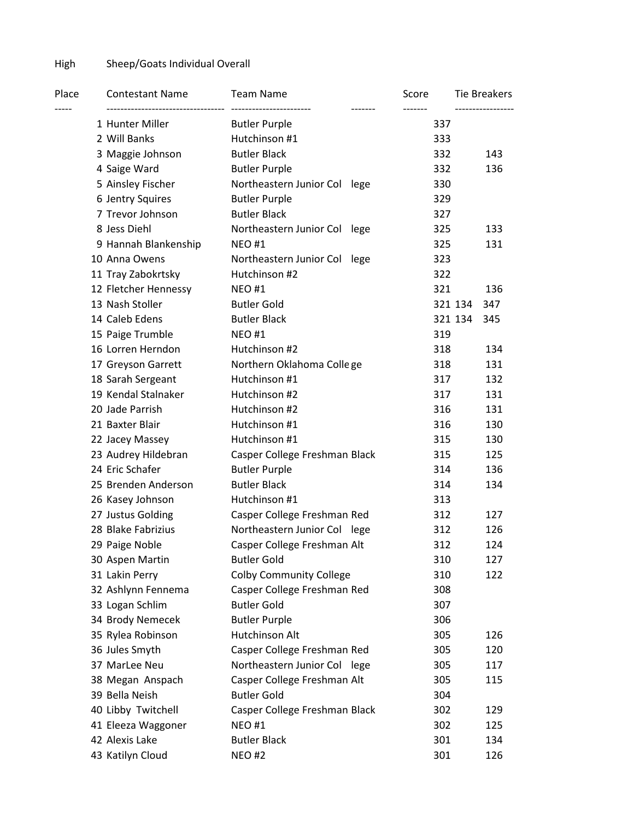## High Sheep/Goats Individual Overall

| Place | <b>Contestant Name</b><br>------------------------------- | <b>Team Name</b><br>------------------------ | Score | <b>Tie Breakers</b> |
|-------|-----------------------------------------------------------|----------------------------------------------|-------|---------------------|
|       | 1 Hunter Miller                                           | <b>Butler Purple</b>                         | 337   | -----------------   |
|       | 2 Will Banks                                              | Hutchinson #1                                | 333   |                     |
|       | 3 Maggie Johnson                                          | <b>Butler Black</b>                          | 332   | 143                 |
|       | 4 Saige Ward                                              | <b>Butler Purple</b>                         | 332   | 136                 |
|       | 5 Ainsley Fischer                                         | Northeastern Junior Col lege                 | 330   |                     |
|       | 6 Jentry Squires                                          | <b>Butler Purple</b>                         | 329   |                     |
|       | 7 Trevor Johnson                                          | <b>Butler Black</b>                          | 327   |                     |
|       | 8 Jess Diehl                                              | Northeastern Junior Col lege                 | 325   | 133                 |
|       | 9 Hannah Blankenship                                      | <b>NEO#1</b>                                 | 325   | 131                 |
|       | 10 Anna Owens                                             | Northeastern Junior Col lege                 | 323   |                     |
|       | 11 Tray Zabokrtsky                                        | Hutchinson #2                                | 322   |                     |
|       | 12 Fletcher Hennessy                                      | <b>NEO#1</b>                                 | 321   | 136                 |
|       | 13 Nash Stoller                                           | <b>Butler Gold</b>                           |       | 321 134<br>347      |
|       | 14 Caleb Edens                                            | <b>Butler Black</b>                          |       | 321 134<br>345      |
|       | 15 Paige Trumble                                          | <b>NEO#1</b>                                 | 319   |                     |
|       | 16 Lorren Herndon                                         | Hutchinson #2                                | 318   | 134                 |
|       | 17 Greyson Garrett                                        | Northern Oklahoma College                    | 318   | 131                 |
|       | 18 Sarah Sergeant                                         | Hutchinson #1                                | 317   | 132                 |
|       | 19 Kendal Stalnaker                                       | Hutchinson #2                                | 317   | 131                 |
|       | 20 Jade Parrish                                           | Hutchinson #2                                | 316   | 131                 |
|       | 21 Baxter Blair                                           | Hutchinson #1                                | 316   | 130                 |
|       | 22 Jacey Massey                                           | Hutchinson #1                                | 315   | 130                 |
|       | 23 Audrey Hildebran                                       | Casper College Freshman Black                | 315   | 125                 |
|       | 24 Eric Schafer                                           | <b>Butler Purple</b>                         | 314   | 136                 |
|       | 25 Brenden Anderson                                       | <b>Butler Black</b>                          | 314   | 134                 |
|       | 26 Kasey Johnson                                          | Hutchinson #1                                | 313   |                     |
|       | 27 Justus Golding                                         | Casper College Freshman Red                  | 312   | 127                 |
|       | 28 Blake Fabrizius                                        | Northeastern Junior Col lege                 | 312   | 126                 |
|       | 29 Paige Noble                                            | Casper College Freshman Alt                  | 312   | 124                 |
|       | 30 Aspen Martin                                           | <b>Butler Gold</b>                           | 310   | 127                 |
|       | 31 Lakin Perry                                            | <b>Colby Community College</b>               | 310   | 122                 |
|       | 32 Ashlynn Fennema                                        | Casper College Freshman Red                  | 308   |                     |
|       | 33 Logan Schlim                                           | <b>Butler Gold</b>                           | 307   |                     |
|       | 34 Brody Nemecek                                          | <b>Butler Purple</b>                         | 306   |                     |
|       | 35 Rylea Robinson                                         | Hutchinson Alt                               | 305   | 126                 |
|       | 36 Jules Smyth                                            | Casper College Freshman Red                  | 305   | 120                 |
|       | 37 MarLee Neu                                             | Northeastern Junior Col lege                 | 305   | 117                 |
|       | 38 Megan Anspach                                          | Casper College Freshman Alt                  | 305   | 115                 |
|       | 39 Bella Neish                                            | <b>Butler Gold</b>                           | 304   |                     |
|       | 40 Libby Twitchell                                        | Casper College Freshman Black                | 302   | 129                 |
|       | 41 Eleeza Waggoner                                        | <b>NEO#1</b>                                 | 302   | 125                 |
|       | 42 Alexis Lake                                            | <b>Butler Black</b>                          | 301   | 134                 |
|       | 43 Katilyn Cloud                                          | <b>NEO#2</b>                                 | 301   | 126                 |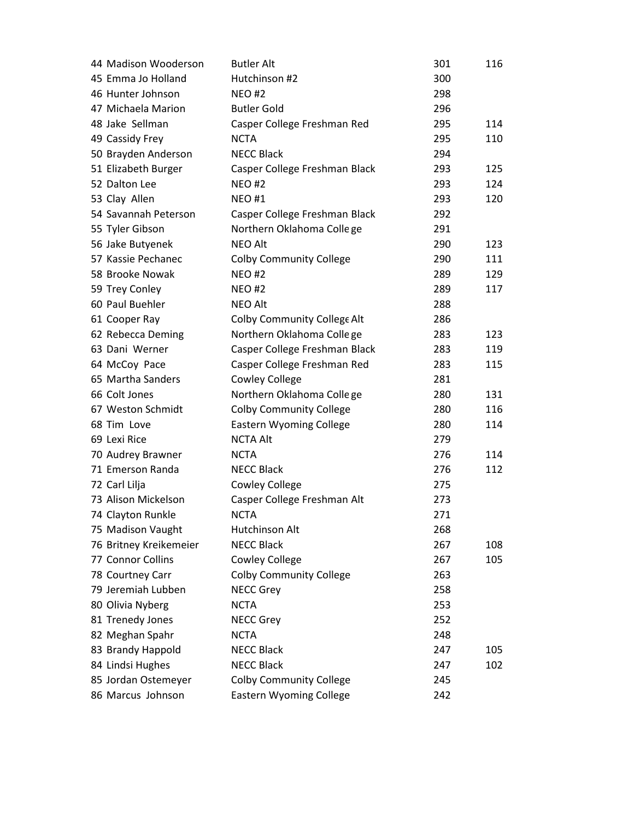| 44 Madison Wooderson   | <b>Butler Alt</b>              | 301 | 116 |
|------------------------|--------------------------------|-----|-----|
| 45 Emma Jo Holland     | Hutchinson #2                  | 300 |     |
| 46 Hunter Johnson      | <b>NEO#2</b>                   | 298 |     |
| 47 Michaela Marion     | <b>Butler Gold</b>             | 296 |     |
| 48 Jake Sellman        | Casper College Freshman Red    | 295 | 114 |
| 49 Cassidy Frey        | <b>NCTA</b>                    | 295 | 110 |
| 50 Brayden Anderson    | <b>NECC Black</b>              | 294 |     |
| 51 Elizabeth Burger    | Casper College Freshman Black  | 293 | 125 |
| 52 Dalton Lee          | <b>NEO#2</b>                   | 293 | 124 |
| 53 Clay Allen          | <b>NEO#1</b>                   | 293 | 120 |
| 54 Savannah Peterson   | Casper College Freshman Black  | 292 |     |
| 55 Tyler Gibson        | Northern Oklahoma College      | 291 |     |
| 56 Jake Butyenek       | <b>NEO Alt</b>                 | 290 | 123 |
| 57 Kassie Pechanec     | <b>Colby Community College</b> | 290 | 111 |
| 58 Brooke Nowak        | <b>NEO#2</b>                   | 289 | 129 |
| 59 Trey Conley         | <b>NEO#2</b>                   | 289 | 117 |
| 60 Paul Buehler        | <b>NEO Alt</b>                 | 288 |     |
| 61 Cooper Ray          | Colby Community College Alt    | 286 |     |
| 62 Rebecca Deming      | Northern Oklahoma College      | 283 | 123 |
| 63 Dani Werner         | Casper College Freshman Black  | 283 | 119 |
| 64 McCoy Pace          | Casper College Freshman Red    | 283 | 115 |
| 65 Martha Sanders      | <b>Cowley College</b>          | 281 |     |
| 66 Colt Jones          | Northern Oklahoma College      | 280 | 131 |
| 67 Weston Schmidt      | <b>Colby Community College</b> | 280 | 116 |
| 68 Tim Love            | <b>Eastern Wyoming College</b> | 280 | 114 |
| 69 Lexi Rice           | <b>NCTA Alt</b>                | 279 |     |
| 70 Audrey Brawner      | <b>NCTA</b>                    | 276 | 114 |
| 71 Emerson Randa       | <b>NECC Black</b>              | 276 | 112 |
| 72 Carl Lilja          | <b>Cowley College</b>          | 275 |     |
| 73 Alison Mickelson    | Casper College Freshman Alt    | 273 |     |
| 74 Clayton Runkle      | <b>NCTA</b>                    | 271 |     |
| 75 Madison Vaught      | Hutchinson Alt                 | 268 |     |
| 76 Britney Kreikemeier | <b>NECC Black</b>              | 267 | 108 |
| 77 Connor Collins      | <b>Cowley College</b>          | 267 | 105 |
| 78 Courtney Carr       | <b>Colby Community College</b> | 263 |     |
| 79 Jeremiah Lubben     | <b>NECC Grey</b>               | 258 |     |
| 80 Olivia Nyberg       | <b>NCTA</b>                    | 253 |     |
| 81 Trenedy Jones       | <b>NECC Grey</b>               | 252 |     |
| 82 Meghan Spahr        | <b>NCTA</b>                    | 248 |     |
| 83 Brandy Happold      | <b>NECC Black</b>              | 247 | 105 |
| 84 Lindsi Hughes       | <b>NECC Black</b>              | 247 | 102 |
| 85 Jordan Ostemeyer    | <b>Colby Community College</b> | 245 |     |
| 86 Marcus Johnson      | <b>Eastern Wyoming College</b> | 242 |     |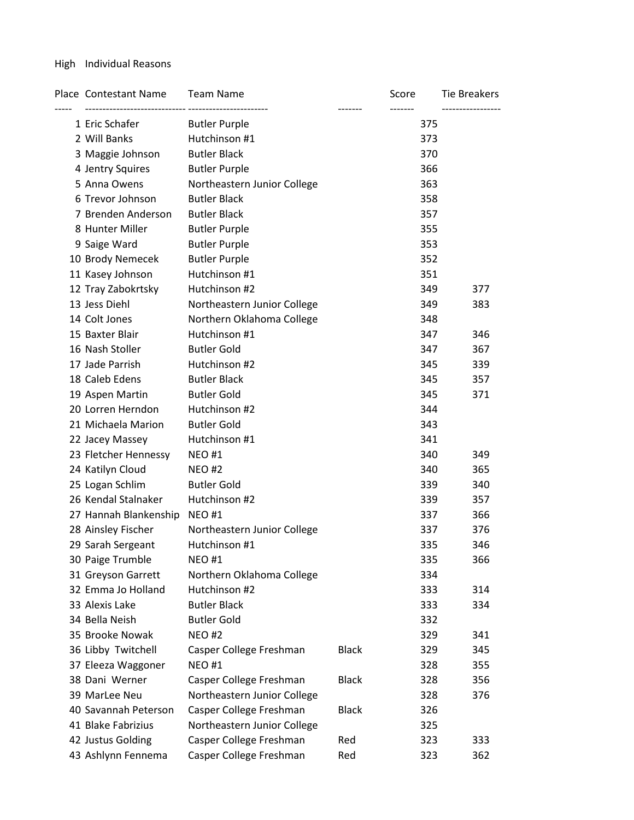### High Individual Reasons

| Place Contestant Name | <b>Team Name</b>            |              | Score | <b>Tie Breakers</b> |
|-----------------------|-----------------------------|--------------|-------|---------------------|
| 1 Eric Schafer        | <b>Butler Purple</b>        |              | 375   |                     |
| 2 Will Banks          | Hutchinson #1               |              | 373   |                     |
| 3 Maggie Johnson      | <b>Butler Black</b>         |              | 370   |                     |
| 4 Jentry Squires      | <b>Butler Purple</b>        |              | 366   |                     |
| 5 Anna Owens          | Northeastern Junior College |              | 363   |                     |
| 6 Trevor Johnson      | <b>Butler Black</b>         |              | 358   |                     |
| 7 Brenden Anderson    | <b>Butler Black</b>         |              | 357   |                     |
| 8 Hunter Miller       | <b>Butler Purple</b>        |              | 355   |                     |
| 9 Saige Ward          | <b>Butler Purple</b>        |              | 353   |                     |
| 10 Brody Nemecek      | <b>Butler Purple</b>        |              | 352   |                     |
| 11 Kasey Johnson      | Hutchinson #1               |              | 351   |                     |
| 12 Tray Zabokrtsky    | Hutchinson #2               |              | 349   | 377                 |
| 13 Jess Diehl         | Northeastern Junior College |              | 349   | 383                 |
| 14 Colt Jones         | Northern Oklahoma College   |              | 348   |                     |
| 15 Baxter Blair       | Hutchinson #1               |              | 347   | 346                 |
| 16 Nash Stoller       | <b>Butler Gold</b>          |              | 347   | 367                 |
| 17 Jade Parrish       | Hutchinson #2               |              | 345   | 339                 |
| 18 Caleb Edens        | <b>Butler Black</b>         |              | 345   | 357                 |
| 19 Aspen Martin       | <b>Butler Gold</b>          |              | 345   | 371                 |
| 20 Lorren Herndon     | Hutchinson #2               |              | 344   |                     |
| 21 Michaela Marion    | <b>Butler Gold</b>          |              | 343   |                     |
| 22 Jacey Massey       | Hutchinson #1               |              | 341   |                     |
| 23 Fletcher Hennessy  | <b>NEO#1</b>                |              | 340   | 349                 |
| 24 Katilyn Cloud      | <b>NEO#2</b>                |              | 340   | 365                 |
| 25 Logan Schlim       | <b>Butler Gold</b>          |              | 339   | 340                 |
| 26 Kendal Stalnaker   | Hutchinson #2               |              | 339   | 357                 |
| 27 Hannah Blankenship | <b>NEO#1</b>                |              | 337   | 366                 |
| 28 Ainsley Fischer    | Northeastern Junior College |              | 337   | 376                 |
| 29 Sarah Sergeant     | Hutchinson #1               |              | 335   | 346                 |
| 30 Paige Trumble      | <b>NEO#1</b>                |              | 335   | 366                 |
| 31 Greyson Garrett    | Northern Oklahoma College   |              | 334   |                     |
| 32 Emma Jo Holland    | Hutchinson #2               |              | 333   | 314                 |
| 33 Alexis Lake        | <b>Butler Black</b>         |              | 333   | 334                 |
| 34 Bella Neish        | <b>Butler Gold</b>          |              | 332   |                     |
| 35 Brooke Nowak       | <b>NEO#2</b>                |              | 329   | 341                 |
| 36 Libby Twitchell    | Casper College Freshman     | <b>Black</b> | 329   | 345                 |
| 37 Eleeza Waggoner    | <b>NEO#1</b>                |              | 328   | 355                 |
| 38 Dani Werner        | Casper College Freshman     | <b>Black</b> | 328   | 356                 |
| 39 MarLee Neu         | Northeastern Junior College |              | 328   | 376                 |
| 40 Savannah Peterson  | Casper College Freshman     | <b>Black</b> | 326   |                     |
| 41 Blake Fabrizius    | Northeastern Junior College |              | 325   |                     |
| 42 Justus Golding     | Casper College Freshman     | Red          | 323   | 333                 |
| 43 Ashlynn Fennema    | Casper College Freshman     | Red          | 323   | 362                 |